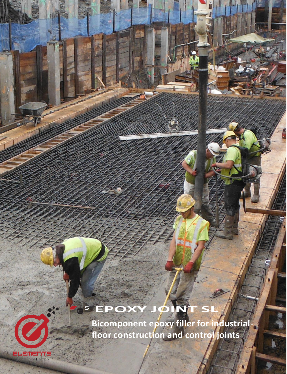# E<sup>5</sup> EPOXY JOINT

Bicomponent epoxy filler for industrialfloor construction and control joints

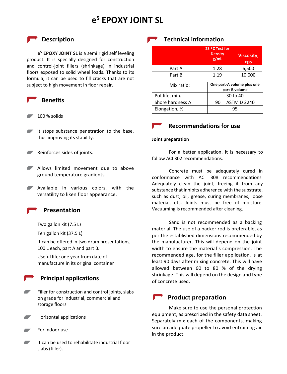# **e <sup>5</sup> EPOXY JOINT SL**

### **P** Description

**e <sup>5</sup> EPOXY JOINT SL** is a semi rigid self leveling product. It is specially designed for construction and control-joint fillers (shrinkage) in industrial floors exposed to solid wheel loads. Thanks to its formula, it can be used to fill cracks that are not subject to high movement in floor repair.

#### **Benefits**

- 100 % solids
- It stops substance penetration to the base, thus improving its stability.
- Reinforces sides of joints.
- Allows limited movement due to above ground temperature gradients.
- **Available in various colors, with the** versatility to liken floor appearance.

### **Presentation**

Two gallon kit (7.5 L)

Ten gallon kit (37.5 L)

It can be offered in two drum presentations, 100 L each, part A and part B.

Useful life: one year from date of manufacture in its original container

### **Principal applications**

- Filler for construction and control joints, slabs on grade for industrial, commercial and storage floors
- $\overline{\phantom{a}}$ Horizontal applications
- For indoor use
- $\overline{\phantom{a}}$ It can be used to rehabilitate industrial floor slabs (filler).

# **Technical information**

|                  |      | 23 °C Test for<br><b>Density</b><br>g/mL    |        | <b>Viscosity,</b><br><b>Cps</b> |
|------------------|------|---------------------------------------------|--------|---------------------------------|
| Part A           |      | 1.28                                        |        | 6,500                           |
| Part B           | 1.19 |                                             | 10,000 |                                 |
| Mix ratio:       |      | One part-A volume plus one<br>part-B volume |        |                                 |
| Pot life, min.   |      | 30 to 40                                    |        |                                 |
| Shore hardness A |      | 90                                          |        | <b>ASTM D 2240</b>              |
| Elongation, %    |      | 95                                          |        |                                 |



#### **Joint preparation**

For a better application, it is necessary to follow ACI 302 recommendations.

Concrete must be adequately cured in conformance with ACI 308 recommendations. Adequately clean the joint, freeing it from any substance that inhibits adherence with the substrate, such as dust, oil, grease, curing membranes, loose material, etc. Joints must be free of moisture. Vacuuming is recommended after cleaning.

Sand is not recommended as a backing material. The use of a backer rod is preferable, as per the established dimensions recommended by the manufacturer. This will depend on the joint width to ensure the material´s compression. The recommended age, for the filler application, is at least 90 days after mixing concrete. This will have allowed between 60 to 80 % of the drying shrinkage. This will depend on the design and type of concrete used.

# **Product preparation**

Make sure to use the personal protection equipment, as prescribed in the safety data sheet. Separately mix each of the components, making sure an adequate propeller to avoid entraining air in the product.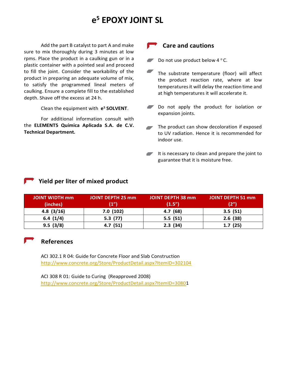# **e <sup>5</sup> EPOXY JOINT SL**

Add the part B catalyst to part A and make sure to mix thoroughly during 3 minutes at low rpms. Place the product in a caulking gun or in a plastic container with a pointed seal and proceed to fill the joint. Consider the workability of the product in preparing an adequate volume of mix, to satisfy the programmed lineal meters of caulking. Ensure a complete fill to the established depth. Shave off the excess at 24 h.

Clean the equipment with **e <sup>5</sup> SOLVENT**.

For additional information consult with the **ELEMENT5 Química Aplicada S.A. de C.V. Technical Department.**

### **Care and cautions**

Do not use product below  $4^{\circ}$  C.

- $\overline{\phantom{a}}$ The substrate temperature (floor) will affect the product reaction rate, where at low temperatures it will delay the reaction time and at high temperatures it will accelerate it.
- Do not apply the product for isolation or expansion joints.
- The product can show decoloration if exposed to UV radiation. Hence it is recommended for indoor use.
- It is necessary to clean and prepare the joint to  $\overline{\phantom{a}}$ guarantee that it is moisture free.

## **Yield per liter of mixed product**

| <b>JOINT WIDTH mm</b> | <b>JOINT DEPTH 25 mm</b> | <b>JOINT DEPTH 38 mm</b> | <b>JOINT DEPTH 51 mm</b> |
|-----------------------|--------------------------|--------------------------|--------------------------|
| (inches)              | (1")                     | (1.5")                   | (2")                     |
| 4.8(3/16)             | 7.0(102)                 | 4.7(68)                  | 3.5(51)                  |
| 6.4(1/4)              | 5.3(77)                  | 5.5(51)                  | 2.6(38)                  |
| 9.5(3/8)              | 4.7(51)                  | 2.3(34)                  | 1.7(25)                  |

#### **References**

ACI 302.1 R 04: Guide for Concrete Floor and Slab Construction <http://www.concrete.org/Store/ProductDetail.aspx?ItemID=302104>

ACI 308 R 01: Guide to Curing (Reapproved 2008) [http://www.concrete.org/Store/ProductDetail.aspx?ItemID=30801](http://www.concrete.org/Store/ProductDetail.aspx?ItemID=3080)